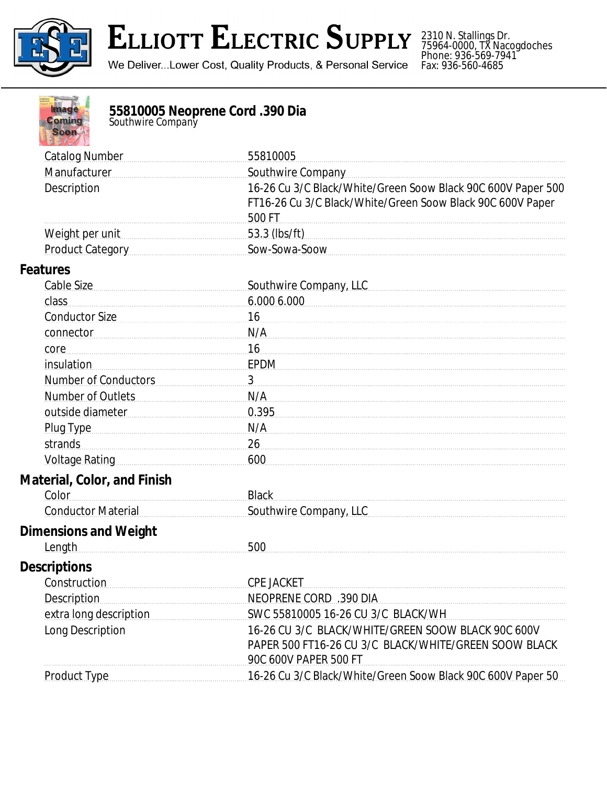

## **ELLIOTT ELECTRIC SUPPLY**

We Deliver...Lower Cost, Quality Products, & Personal Service

2310 N. Stallings Dr. 75964-0000, TX Nacogdoches Phone: 936-569-7941 Fax: 936-560-4685



## **55810005 Neoprene Cord .390 Dia**

*Southwire Company*

| Manufacturer<br>Southwire Company<br>16-26 Cu 3/C Black/White/Green Soow Black 90C 600V Paper 500<br>Description<br>FT16-26 Cu 3/C Black/White/Green Soow Black 90C 600V Paper<br>500 FT<br>53.3 (lbs/ft)<br>Product Category Product Category<br>Sow-Sowa-Soow<br><b>Features</b><br>Cable Size<br>Southwire Company, LLC<br>6.000 6.000<br>class<br>Conductor Size<br>16<br>N/A<br>connector connector connection and connection and connection and connection and connection and connection and connection and connection and connection and connection and connection and connection and connection and connect<br>16<br>core<br>EPDM<br>insulation<br>Number of Conductors<br>3<br>N/A<br>Number of Outlets<br>0.395<br>outside diameter<br>N/A<br>Plug Type<br>strands<br>26<br>Voltage Rating Management Control Control Control Control Control Control Control Control Control Control Control Control Control Control Control Control Control Control Control Control Control Control Control Control Cont<br>600<br><b>Material, Color, and Finish</b><br>Color<br><b>Black</b><br>Conductor Material<br>Southwire Company, LLC<br><b>Dimensions and Weight</b><br>500<br>Length<br><b>Descriptions</b><br>Construction<br><b>CPE JACKET</b><br><b>Description</b><br><b>NEOPRENE CORD .390 DIA</b><br>SWC 55810005 16-26 CU 3/C BLACK/WH<br>extra long description<br>16-26 CU 3/C BLACK/WHITE/GREEN SOOW BLACK 90C 600V<br>Long Description<br>PAPER 500 FT16-26 CU 3/C BLACK/WHITE/GREEN SOOW BLACK<br>90C 600V PAPER 500 FT | <b>Catalog Number</b> | 55810005 |
|--------------------------------------------------------------------------------------------------------------------------------------------------------------------------------------------------------------------------------------------------------------------------------------------------------------------------------------------------------------------------------------------------------------------------------------------------------------------------------------------------------------------------------------------------------------------------------------------------------------------------------------------------------------------------------------------------------------------------------------------------------------------------------------------------------------------------------------------------------------------------------------------------------------------------------------------------------------------------------------------------------------------------------------------------------------------------------------------------------------------------------------------------------------------------------------------------------------------------------------------------------------------------------------------------------------------------------------------------------------------------------------------------------------------------------------------------------------------------------------------------------------------------------------------|-----------------------|----------|
|                                                                                                                                                                                                                                                                                                                                                                                                                                                                                                                                                                                                                                                                                                                                                                                                                                                                                                                                                                                                                                                                                                                                                                                                                                                                                                                                                                                                                                                                                                                                            |                       |          |
|                                                                                                                                                                                                                                                                                                                                                                                                                                                                                                                                                                                                                                                                                                                                                                                                                                                                                                                                                                                                                                                                                                                                                                                                                                                                                                                                                                                                                                                                                                                                            |                       |          |
|                                                                                                                                                                                                                                                                                                                                                                                                                                                                                                                                                                                                                                                                                                                                                                                                                                                                                                                                                                                                                                                                                                                                                                                                                                                                                                                                                                                                                                                                                                                                            |                       |          |
|                                                                                                                                                                                                                                                                                                                                                                                                                                                                                                                                                                                                                                                                                                                                                                                                                                                                                                                                                                                                                                                                                                                                                                                                                                                                                                                                                                                                                                                                                                                                            |                       |          |
|                                                                                                                                                                                                                                                                                                                                                                                                                                                                                                                                                                                                                                                                                                                                                                                                                                                                                                                                                                                                                                                                                                                                                                                                                                                                                                                                                                                                                                                                                                                                            |                       |          |
|                                                                                                                                                                                                                                                                                                                                                                                                                                                                                                                                                                                                                                                                                                                                                                                                                                                                                                                                                                                                                                                                                                                                                                                                                                                                                                                                                                                                                                                                                                                                            |                       |          |
|                                                                                                                                                                                                                                                                                                                                                                                                                                                                                                                                                                                                                                                                                                                                                                                                                                                                                                                                                                                                                                                                                                                                                                                                                                                                                                                                                                                                                                                                                                                                            |                       |          |
|                                                                                                                                                                                                                                                                                                                                                                                                                                                                                                                                                                                                                                                                                                                                                                                                                                                                                                                                                                                                                                                                                                                                                                                                                                                                                                                                                                                                                                                                                                                                            |                       |          |
|                                                                                                                                                                                                                                                                                                                                                                                                                                                                                                                                                                                                                                                                                                                                                                                                                                                                                                                                                                                                                                                                                                                                                                                                                                                                                                                                                                                                                                                                                                                                            |                       |          |
|                                                                                                                                                                                                                                                                                                                                                                                                                                                                                                                                                                                                                                                                                                                                                                                                                                                                                                                                                                                                                                                                                                                                                                                                                                                                                                                                                                                                                                                                                                                                            |                       |          |
|                                                                                                                                                                                                                                                                                                                                                                                                                                                                                                                                                                                                                                                                                                                                                                                                                                                                                                                                                                                                                                                                                                                                                                                                                                                                                                                                                                                                                                                                                                                                            |                       |          |
|                                                                                                                                                                                                                                                                                                                                                                                                                                                                                                                                                                                                                                                                                                                                                                                                                                                                                                                                                                                                                                                                                                                                                                                                                                                                                                                                                                                                                                                                                                                                            |                       |          |
|                                                                                                                                                                                                                                                                                                                                                                                                                                                                                                                                                                                                                                                                                                                                                                                                                                                                                                                                                                                                                                                                                                                                                                                                                                                                                                                                                                                                                                                                                                                                            |                       |          |
|                                                                                                                                                                                                                                                                                                                                                                                                                                                                                                                                                                                                                                                                                                                                                                                                                                                                                                                                                                                                                                                                                                                                                                                                                                                                                                                                                                                                                                                                                                                                            |                       |          |
|                                                                                                                                                                                                                                                                                                                                                                                                                                                                                                                                                                                                                                                                                                                                                                                                                                                                                                                                                                                                                                                                                                                                                                                                                                                                                                                                                                                                                                                                                                                                            |                       |          |
|                                                                                                                                                                                                                                                                                                                                                                                                                                                                                                                                                                                                                                                                                                                                                                                                                                                                                                                                                                                                                                                                                                                                                                                                                                                                                                                                                                                                                                                                                                                                            |                       |          |
|                                                                                                                                                                                                                                                                                                                                                                                                                                                                                                                                                                                                                                                                                                                                                                                                                                                                                                                                                                                                                                                                                                                                                                                                                                                                                                                                                                                                                                                                                                                                            |                       |          |
|                                                                                                                                                                                                                                                                                                                                                                                                                                                                                                                                                                                                                                                                                                                                                                                                                                                                                                                                                                                                                                                                                                                                                                                                                                                                                                                                                                                                                                                                                                                                            |                       |          |
|                                                                                                                                                                                                                                                                                                                                                                                                                                                                                                                                                                                                                                                                                                                                                                                                                                                                                                                                                                                                                                                                                                                                                                                                                                                                                                                                                                                                                                                                                                                                            |                       |          |
|                                                                                                                                                                                                                                                                                                                                                                                                                                                                                                                                                                                                                                                                                                                                                                                                                                                                                                                                                                                                                                                                                                                                                                                                                                                                                                                                                                                                                                                                                                                                            |                       |          |
|                                                                                                                                                                                                                                                                                                                                                                                                                                                                                                                                                                                                                                                                                                                                                                                                                                                                                                                                                                                                                                                                                                                                                                                                                                                                                                                                                                                                                                                                                                                                            |                       |          |
|                                                                                                                                                                                                                                                                                                                                                                                                                                                                                                                                                                                                                                                                                                                                                                                                                                                                                                                                                                                                                                                                                                                                                                                                                                                                                                                                                                                                                                                                                                                                            |                       |          |
|                                                                                                                                                                                                                                                                                                                                                                                                                                                                                                                                                                                                                                                                                                                                                                                                                                                                                                                                                                                                                                                                                                                                                                                                                                                                                                                                                                                                                                                                                                                                            |                       |          |
|                                                                                                                                                                                                                                                                                                                                                                                                                                                                                                                                                                                                                                                                                                                                                                                                                                                                                                                                                                                                                                                                                                                                                                                                                                                                                                                                                                                                                                                                                                                                            |                       |          |
|                                                                                                                                                                                                                                                                                                                                                                                                                                                                                                                                                                                                                                                                                                                                                                                                                                                                                                                                                                                                                                                                                                                                                                                                                                                                                                                                                                                                                                                                                                                                            |                       |          |
|                                                                                                                                                                                                                                                                                                                                                                                                                                                                                                                                                                                                                                                                                                                                                                                                                                                                                                                                                                                                                                                                                                                                                                                                                                                                                                                                                                                                                                                                                                                                            |                       |          |
|                                                                                                                                                                                                                                                                                                                                                                                                                                                                                                                                                                                                                                                                                                                                                                                                                                                                                                                                                                                                                                                                                                                                                                                                                                                                                                                                                                                                                                                                                                                                            |                       |          |
|                                                                                                                                                                                                                                                                                                                                                                                                                                                                                                                                                                                                                                                                                                                                                                                                                                                                                                                                                                                                                                                                                                                                                                                                                                                                                                                                                                                                                                                                                                                                            |                       |          |
|                                                                                                                                                                                                                                                                                                                                                                                                                                                                                                                                                                                                                                                                                                                                                                                                                                                                                                                                                                                                                                                                                                                                                                                                                                                                                                                                                                                                                                                                                                                                            |                       |          |
|                                                                                                                                                                                                                                                                                                                                                                                                                                                                                                                                                                                                                                                                                                                                                                                                                                                                                                                                                                                                                                                                                                                                                                                                                                                                                                                                                                                                                                                                                                                                            |                       |          |
|                                                                                                                                                                                                                                                                                                                                                                                                                                                                                                                                                                                                                                                                                                                                                                                                                                                                                                                                                                                                                                                                                                                                                                                                                                                                                                                                                                                                                                                                                                                                            |                       |          |
| 16-26 Cu 3/C Black/White/Green Soow Black 90C 600V Paper 50<br>Product Type                                                                                                                                                                                                                                                                                                                                                                                                                                                                                                                                                                                                                                                                                                                                                                                                                                                                                                                                                                                                                                                                                                                                                                                                                                                                                                                                                                                                                                                                |                       |          |